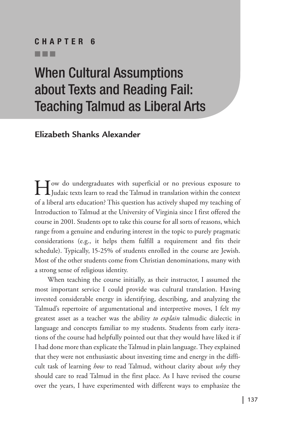#### CHAPTER 1 nnn CHAPTER 6

#### nnn

# When Cultural Assumptions about Texts and Reading Fail: Teaching Talmud as Liberal Arts

**Elizabeth Shanks Alexander**

How do undergraduates with superficial or no previous exposure to Judaic texts learn to read the Talmud in translation within the context of a liberal arts education? This question has actively shaped my teaching of Introduction to Talmud at the University of Virginia since I first offered the course in 2001. Students opt to take this course for all sorts of reasons, which range from a genuine and enduring interest in the topic to purely pragmatic considerations (e.g., it helps them fulfill a requirement and fits their schedule). Typically, 15-25% of students enrolled in the course are Jewish. Most of the other students come from Christian denominations, many with a strong sense of religious identity.

When teaching the course initially, as their instructor, I assumed the most important service I could provide was cultural translation. Having invested considerable energy in identifying, describing, and analyzing the Talmud's repertoire of argumentational and interpretive moves, I felt my greatest asset as a teacher was the ability *to explain* talmudic dialectic in language and concepts familiar to my students. Students from early iterations of the course had helpfully pointed out that they would have liked it if I had done more than explicate the Talmud in plain language. They explained that they were not enthusiastic about investing time and energy in the difficult task of learning *how* to read Talmud, without clarity about *why* they should care to read Talmud in the first place. As I have revised the course over the years, I have experimented with different ways to emphasize the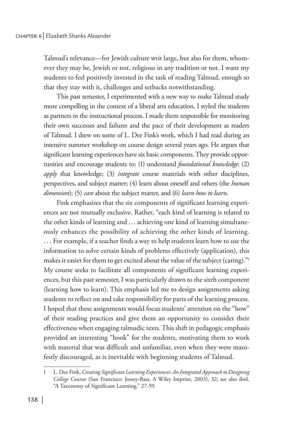Talmud's relevance—for Jewish culture writ large, but also for them, whomever they may be, Jewish or not, religious in any tradition or not. I want my students to feel positively invested in the task of reading Talmud, enough so that they stay with it, challenges and setbacks notwithstanding.

This past semester, I experimented with a new way to make Talmud study more compelling in the context of a liberal arts education. I styled the students as partners in the instructional process. I made them responsible for monitoring their own successes and failures and the pace of their development as readers of Talmud. I drew on some of L. Dee Fink's work, which I had read during an intensive summer workshop on course design several years ago. He argues that significant learning experiences have six basic components. They provide opportunities and encourage students to: (1) understand *foundational knowledge*; (2) *apply* that knowledge; (3) *integrate* course materials with other disciplines, perspectives, and subject matter; (4) learn about oneself and others (the *human dimension*); (5) *care* about the subject matter, and (6) *learn how to learn*.

Fink emphasizes that the six components of significant learning experiences are not mutually exclusive. Rather, "each kind of learning is related to the other kinds of learning and ... achieving one kind of learning simultaneously enhances the possibility of achieving the other kinds of learning. . . . For example, if a teacher finds a way to help students learn how to use the information to solve certain kinds of problems effectively (application), this makes it easier for them to get excited about the value of the subject (caring)."1 My course seeks to facilitate all components of significant learning experiences, but this past semester, I was particularly drawn to the sixth component (learning how to learn). This emphasis led me to design assignments asking students to reflect on and take responsibility for parts of the learning process. I hoped that these assignments would focus students' attention on the "how" of their reading practices and give them an opportunity to consider their effectiveness when engaging talmudic texts. This shift in pedagogic emphasis provided an interesting "hook" for the students, motivating them to work with material that was difficult and unfamiliar, even when they were manifestly discouraged, as is inevitable with beginning students of Talmud.

<sup>1</sup> L. Dee Fink, *Creating Significant Learning Experiences: An Integrated Approach to Designing College Courses* (San Francisco: Jossey-Bass, A Wiley Imprint, 2003), 32; see also ibid, "A Taxonomy of Significant Learning," 27-59.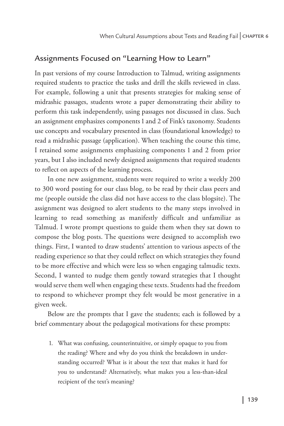# Assignments Focused on "Learning How to Learn"

In past versions of my course Introduction to Talmud, writing assignments required students to practice the tasks and drill the skills reviewed in class. For example, following a unit that presents strategies for making sense of midrashic passages, students wrote a paper demonstrating their ability to perform this task independently, using passages not discussed in class. Such an assignment emphasizes components 1 and 2 of Fink's taxonomy. Students use concepts and vocabulary presented in class (foundational knowledge) to read a midrashic passage (application). When teaching the course this time, I retained some assignments emphasizing components 1 and 2 from prior years, but I also included newly designed assignments that required students to reflect on aspects of the learning process.

In one new assignment, students were required to write a weekly 200 to 300 word posting for our class blog, to be read by their class peers and me (people outside the class did not have access to the class blogsite). The assignment was designed to alert students to the many steps involved in learning to read something as manifestly difficult and unfamiliar as Talmud. I wrote prompt questions to guide them when they sat down to compose the blog posts. The questions were designed to accomplish two things. First, I wanted to draw students' attention to various aspects of the reading experience so that they could reflect on which strategies they found to be more effective and which were less so when engaging talmudic texts. Second, I wanted to nudge them gently toward strategies that I thought would serve them well when engaging these texts. Students had the freedom to respond to whichever prompt they felt would be most generative in a given week.

Below are the prompts that I gave the students; each is followed by a brief commentary about the pedagogical motivations for these prompts:

 1. What was confusing, counterintuitive, or simply opaque to you from the reading? Where and why do you think the breakdown in understanding occurred? What is it about the text that makes it hard for you to understand? Alternatively, what makes you a less-than-ideal recipient of the text's meaning?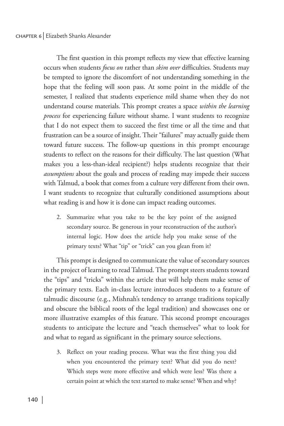#### chapter 6 Elizabeth Shanks Alexander

The first question in this prompt reflects my view that effective learning occurs when students *focus on* rather than *skim over* difficulties. Students may be tempted to ignore the discomfort of not understanding something in the hope that the feeling will soon pass. At some point in the middle of the semester, I realized that students experience mild shame when they do not understand course materials. This prompt creates a space *within the learning process* for experiencing failure without shame. I want students to recognize that I do not expect them to succeed the first time or all the time and that frustration can be a source of insight. Their "failures" may actually guide them toward future success. The follow-up questions in this prompt encourage students to reflect on the reasons for their difficulty. The last question (What makes you a less-than-ideal recipient?) helps students recognize that their *assumptions* about the goals and process of reading may impede their success with Talmud, a book that comes from a culture very different from their own. I want students to recognize that culturally conditioned assumptions about what reading is and how it is done can impact reading outcomes.

2. Summarize what you take to be the key point of the assigned secondary source. Be generous in your reconstruction of the author's internal logic. How does the article help you make sense of the primary texts? What "tip" or "trick" can you glean from it?

This prompt is designed to communicate the value of secondary sources in the project of learning to read Talmud. The prompt steers students toward the "tips" and "tricks" within the article that will help them make sense of the primary texts. Each in-class lecture introduces students to a feature of talmudic discourse (e.g., Mishnah's tendency to arrange traditions topically and obscure the biblical roots of the legal tradition) and showcases one or more illustrative examples of this feature. This second prompt encourages students to anticipate the lecture and "teach themselves" what to look for and what to regard as significant in the primary source selections.

3. Reflect on your reading process. What was the first thing you did when you encountered the primary text? What did you do next? Which steps were more effective and which were less? Was there a certain point at which the text started to make sense? When and why?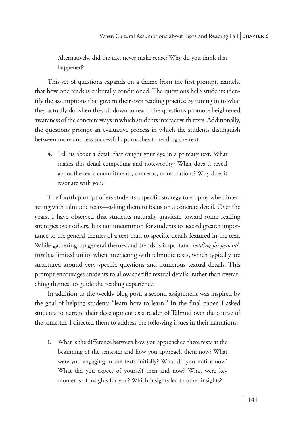Alternatively, did the text never make sense? Why do you think that happened?

This set of questions expands on a theme from the first prompt, namely, that how one reads is culturally conditioned. The questions help students identify the assumptions that govern their own reading practice by tuning in to what they actually do when they sit down to read. The questions promote heightened awareness of the concrete ways in which students interact with texts. Additionally, the questions prompt an evaluative process in which the students distinguish between more and less successful approaches to reading the text.

4. Tell us about a detail that caught your eye in a primary text. What makes this detail compelling and noteworthy? What does it reveal about the text's commitments, concerns, or resolutions? Why does it resonate with you?

The fourth prompt offers students a specific strategy to employ when interacting with talmudic texts—asking them to focus on a concrete detail. Over the years, I have observed that students naturally gravitate toward some reading strategies over others. It is not uncommon for students to accord greater importance to the general themes of a text than to specific details featured in the text. While gathering-up general themes and trends is important, *reading for generalities* has limited utility when interacting with talmudic texts, which typically are structured around very specific questions and numerous textual details. This prompt encourages students to allow specific textual details, rather than overarching themes, to guide the reading experience.

In addition to the weekly blog post, a second assignment was inspired by the goal of helping students "learn how to learn." In the final paper, I asked students to narrate their development as a reader of Talmud over the course of the semester. I directed them to address the following issues in their narrations:

1. What is the difference between how you approached these texts at the beginning of the semester and how you approach them now? What were you engaging in the texts initially? What do you notice now? What did you expect of yourself then and now? What were key moments of insights for you? Which insights led to other insights?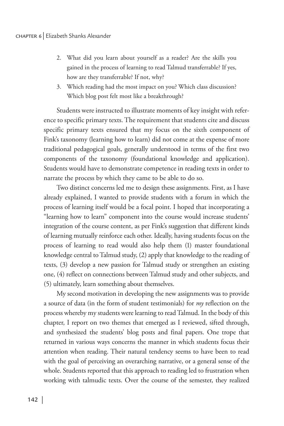- 2. What did you learn about yourself as a reader? Are the skills you gained in the process of learning to read Talmud transferrable? If yes, how are they transferrable? If not, why?
- 3. Which reading had the most impact on you? Which class discussion? Which blog post felt most like a breakthrough?

Students were instructed to illustrate moments of key insight with reference to specific primary texts. The requirement that students cite and discuss specific primary texts ensured that my focus on the sixth component of Fink's taxonomy (learning how to learn) did not come at the expense of more traditional pedagogical goals, generally understood in terms of the first two components of the taxonomy (foundational knowledge and application). Students would have to demonstrate competence in reading texts in order to narrate the process by which they came to be able to do so.

Two distinct concerns led me to design these assignments. First, as I have already explained, I wanted to provide students with a forum in which the process of learning itself would be a focal point. I hoped that incorporating a "learning how to learn" component into the course would increase students' integration of the course content, as per Fink's suggestion that different kinds of learning mutually reinforce each other. Ideally, having students focus on the process of learning to read would also help them (1) master foundational knowledge central to Talmud study, (2) apply that knowledge to the reading of texts, (3) develop a new passion for Talmud study or strengthen an existing one, (4) reflect on connections between Talmud study and other subjects, and (5) ultimately, learn something about themselves.

My second motivation in developing the new assignments was to provide a source of data (in the form of student testimonials) for *my* reflection on the process whereby my students were learning to read Talmud. In the body of this chapter, I report on two themes that emerged as I reviewed, sifted through, and synthesized the students' blog posts and final papers. One trope that returned in various ways concerns the manner in which students focus their attention when reading. Their natural tendency seems to have been to read with the goal of perceiving an overarching narrative, or a general sense of the whole. Students reported that this approach to reading led to frustration when working with talmudic texts. Over the course of the semester, they realized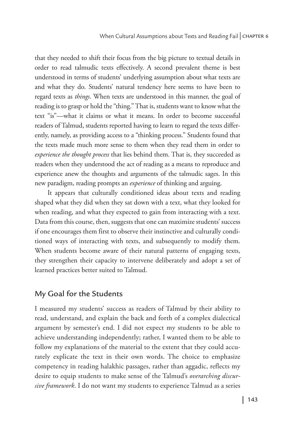that they needed to shift their focus from the big picture to textual details in order to read talmudic texts effectively. A second prevalent theme is best understood in terms of students' underlying assumption about what texts are and what they do. Students' natural tendency here seems to have been to regard texts as *things*. When texts are understood in this manner, the goal of reading is to grasp or hold the "thing." That is, students want to know what the text "is"—what it claims or what it means. In order to become successful readers of Talmud, students reported having to learn to regard the texts differently, namely, as providing access to a "thinking process." Students found that the texts made much more sense to them when they read them in order to *experience the thought process* that lies behind them. That is, they succeeded as readers when they understood the act of reading as a means to reproduce and experience anew the thoughts and arguments of the talmudic sages. In this new paradigm, reading prompts an *experience* of thinking and arguing.

It appears that culturally conditioned ideas about texts and reading shaped what they did when they sat down with a text, what they looked for when reading, and what they expected to gain from interacting with a text. Data from this course, then, suggests that one can maximize students' success if one encourages them first to observe their instinctive and culturally conditioned ways of interacting with texts, and subsequently to modify them. When students become aware of their natural patterns of engaging texts, they strengthen their capacity to intervene deliberately and adopt a set of learned practices better suited to Talmud.

### My Goal for the Students

I measured my students' success as readers of Talmud by their ability to read, understand, and explain the back and forth of a complex dialectical argument by semester's end. I did not expect my students to be able to achieve understanding independently; rather, I wanted them to be able to follow my explanations of the material to the extent that they could accurately explicate the text in their own words. The choice to emphasize competency in reading halakhic passages, rather than aggadic, reflects my desire to equip students to make sense of the Talmud's *overarching discursive framework*. I do not want my students to experience Talmud as a series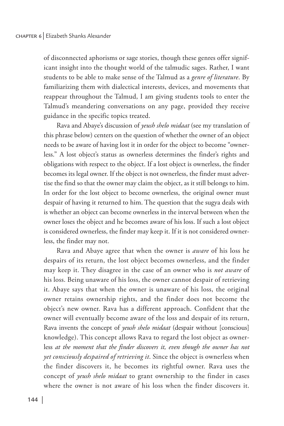of disconnected aphorisms or sage stories, though these genres offer significant insight into the thought world of the talmudic sages. Rather, I want students to be able to make sense of the Talmud as a *genre of literature*. By familiarizing them with dialectical interests, devices, and movements that reappear throughout the Talmud, I am giving students tools to enter the Talmud's meandering conversations on any page, provided they receive guidance in the specific topics treated.

Rava and Abaye's discussion of *yeush shelo midaat* (see my translation of this phrase below) centers on the question of whether the owner of an object needs to be aware of having lost it in order for the object to become "ownerless." A lost object's status as ownerless determines the finder's rights and obligations with respect to the object. If a lost object is ownerless, the finder becomes its legal owner. If the object is not ownerless, the finder must advertise the find so that the owner may claim the object, as it still belongs to him. In order for the lost object to become ownerless, the original owner must despair of having it returned to him. The question that the sugya deals with is whether an object can become ownerless in the interval between when the owner loses the object and he becomes aware of his loss. If such a lost object is considered ownerless, the finder may keep it. If it is not considered ownerless, the finder may not.

Rava and Abaye agree that when the owner is *aware* of his loss he despairs of its return, the lost object becomes ownerless, and the finder may keep it. They disagree in the case of an owner who is *not aware* of his loss. Being unaware of his loss, the owner cannot despair of retrieving it. Abaye says that when the owner is unaware of his loss, the original owner retains ownership rights, and the finder does not become the object's new owner. Rava has a different approach. Confident that the owner will eventually become aware of the loss and despair of its return, Rava invents the concept of *yeush shelo midaat* (despair without [conscious] knowledge). This concept allows Rava to regard the lost object as ownerless *at the moment that the finder discovers it, even though the owner has not yet consciously despaired of retrieving it*. Since the object is ownerless when the finder discovers it, he becomes its rightful owner. Rava uses the concept of *yeush shelo midaat* to grant ownership to the finder in cases where the owner is not aware of his loss when the finder discovers it.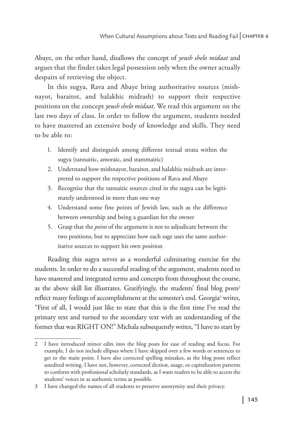Abaye, on the other hand, disallows the concept of *yeush shelo midaat* and argues that the finder takes legal possession only when the owner actually despairs of retrieving the object.

In this sugya, Rava and Abaye bring authoritative sources (mishnayot, baraitot, and halakhic midrash) to support their respective positions on the concept *yeush shelo midaat*. We read this argument on the last two days of class. In order to follow the argument, students needed to have mastered an extensive body of knowledge and skills. They need to be able to:

- 1. Identify and distinguish among different textual strata within the sugya (tannaitic, amoraic, and stammaitic)
- 2. Understand how mishnayot, baraitot, and halakhic midrash are interpreted to support the respective positions of Rava and Abaye
- 3. Recognize that the tannaitic sources cited in the sugya can be legitimately understood in more than one way
- 4. Understand some fine points of Jewish law, such as the difference between ownership and being a guardian for the owner
- 5. Grasp that the *point* of the argument is not to adjudicate between the two positions, but to appreciate how each sage uses the same authoritative sources to support his own position

Reading this sugya serves as a wonderful culminating exercise for the students. In order to do a successful reading of the argument, students need to have mastered and integrated terms and concepts from throughout the course, as the above skill list illustrates. Gratifyingly, the students' final blog posts<sup>2</sup> reflect many feelings of accomplishment at the semester's end. Georgia<sup>3</sup> writes, "First of all, I would just like to state that this is the first time I've read the primary text and turned to the secondary text with an understanding of the former that was RIGHT ON!" Michala subsequently writes, "I have to start by

<sup>2</sup> I have introduced minor edits into the blog posts for ease of reading and focus. For example, I do not include ellipses where I have skipped over a few words or sentences to get to the main point. I have also corrected spelling mistakes, as the blog posts reflect unedited writing. I have not, however, corrected diction, usage, or capitalization patterns to conform with professional scholarly standards, as I want readers to be able to access the students' voices in as authentic terms as possible.

<sup>3</sup> I have changed the names of all students to preserve anonymity and their privacy.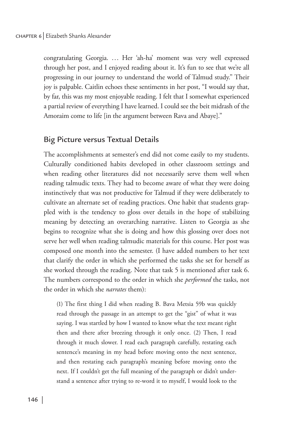#### chapter 6 Elizabeth Shanks Alexander

congratulating Georgia. ... Her 'ah-ha' moment was very well expressed through her post, and I enjoyed reading about it. It's fun to see that we're all progressing in our journey to understand the world of Talmud study." Their joy is palpable. Caitlin echoes these sentiments in her post, "I would say that, by far, this was my most enjoyable reading. I felt that I somewhat experienced a partial review of everything I have learned. I could see the beit midrash of the Amoraim come to life [in the argument between Rava and Abaye]."

#### Big Picture versus Textual Details

The accomplishments at semester's end did not come easily to my students. Culturally conditioned habits developed in other classroom settings and when reading other literatures did not necessarily serve them well when reading talmudic texts. They had to become aware of what they were doing instinctively that was not productive for Talmud if they were deliberately to cultivate an alternate set of reading practices. One habit that students grappled with is the tendency to gloss over details in the hope of stabilizing meaning by detecting an overarching narrative. Listen to Georgia as she begins to recognize what she is doing and how this glossing over does not serve her well when reading talmudic materials for this course. Her post was composed one month into the semester. (I have added numbers to her text that clarify the order in which she performed the tasks she set for herself as she worked through the reading. Note that task 5 is mentioned after task 6. The numbers correspond to the order in which she *performed* the tasks, not the order in which she *narrates* them):

(1) The first thing I did when reading B. Bava Metsia 59b was quickly read through the passage in an attempt to get the "gist" of what it was saying. I was startled by how I wanted to know what the text meant right then and there after breezing through it only once. (2) Then, I read through it much slower. I read each paragraph carefully, restating each sentence's meaning in my head before moving onto the next sentence, and then restating each paragraph's meaning before moving onto the next. If I couldn't get the full meaning of the paragraph or didn't understand a sentence after trying to re-word it to myself, I would look to the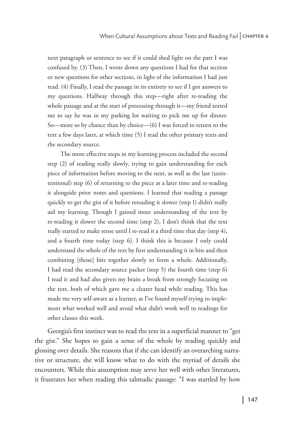next paragraph or sentence to see if it could shed light on the part I was confused by. (3) Then, I wrote down any questions I had for that section or new questions for other sections, in light of the information I had just read. (4) Finally, I read the passage in its entirety to see if I got answers to my questions. Halfway through this step—right after re-reading the whole passage and at the start of processing through it—my friend texted me to say he was in my parking lot waiting to pick me up for dinner. So—more so by chance than by choice—(6) I was forced to return to the text a few days later, at which time (5) I read the other primary texts and the secondary source.

The more effective steps in my learning process included the second step (2) of reading really slowly, trying to gain understanding for each piece of information before moving to the next, as well as the last (unintentional) step (6) of returning to the piece at a later time and re-reading it alongside prior notes and questions. I learned that reading a passage quickly to get the gist of it before rereading it slower (step 1) didn't really aid my learning. Though I gained more understanding of the text by re-reading it slower the second time (step 2), I don't think that the text really started to make sense until I re-read it a third time that day (step 4), and a fourth time today (step 6). I think this is because I only could understand the whole of the text by first understanding it in bits and then combining [those] bits together slowly to form a whole. Additionally, I had read the secondary source packet (step 5) the fourth time (step 6) I read it and had also given my brain a break from strongly focusing on the text, both of which gave me a clearer head while reading. This has made me very self-aware as a learner, as I've found myself trying to implement what worked well and avoid what didn't work well in readings for other classes this week.

Georgia's first instinct was to read the text in a superficial manner to "get the gist." She hopes to gain a sense of the whole by reading quickly and glossing over details. She reasons that if she can identify an overarching narrative or structure, she will know what to do with the myriad of details she encounters. While this assumption may serve her well with other literatures, it frustrates her when reading this talmudic passage: "I was startled by how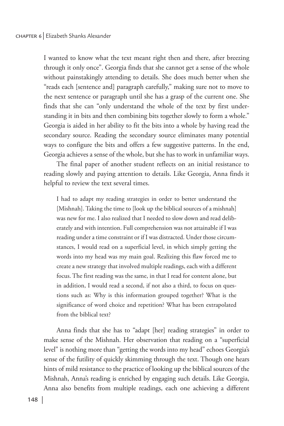I wanted to know what the text meant right then and there, after breezing through it only once". Georgia finds that she cannot get a sense of the whole without painstakingly attending to details. She does much better when she "reads each [sentence and] paragraph carefully," making sure not to move to the next sentence or paragraph until she has a grasp of the current one. She finds that she can "only understand the whole of the text by first understanding it in bits and then combining bits together slowly to form a whole." Georgia is aided in her ability to fit the bits into a whole by having read the secondary source. Reading the secondary source eliminates many potential ways to configure the bits and offers a few suggestive patterns. In the end, Georgia achieves a sense of the whole, but she has to work in unfamiliar ways.

The final paper of another student reflects on an initial resistance to reading slowly and paying attention to details. Like Georgia, Anna finds it helpful to review the text several times.

I had to adapt my reading strategies in order to better understand the [Mishnah]. Taking the time to [look up the biblical sources of a mishnah] was new for me. I also realized that I needed to slow down and read deliberately and with intention. Full comprehension was not attainable if I was reading under a time constraint or if I was distracted. Under those circumstances, I would read on a superficial level, in which simply getting the words into my head was my main goal. Realizing this flaw forced me to create a new strategy that involved multiple readings, each with a different focus. The first reading was the same, in that I read for content alone, but in addition, I would read a second, if not also a third, to focus on questions such as: Why is this information grouped together? What is the significance of word choice and repetition? What has been extrapolated from the biblical text?

Anna finds that she has to "adapt [her] reading strategies" in order to make sense of the Mishnah. Her observation that reading on a "superficial level" is nothing more than "getting the words into my head" echoes Georgia's sense of the futility of quickly skimming through the text. Though one hears hints of mild resistance to the practice of looking up the biblical sources of the Mishnah, Anna's reading is enriched by engaging such details. Like Georgia, Anna also benefits from multiple readings, each one achieving a different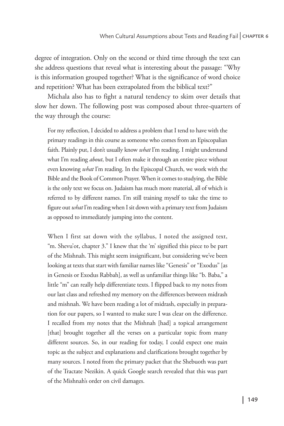degree of integration. Only on the second or third time through the text can she address questions that reveal what is interesting about the passage: "Why is this information grouped together? What is the significance of word choice and repetition? What has been extrapolated from the biblical text?"

Michala also has to fight a natural tendency to skim over details that slow her down. The following post was composed about three-quarters of the way through the course:

For my reflection, I decided to address a problem that I tend to have with the primary readings in this course as someone who comes from an Episcopalian faith. Plainly put, I don't usually know *what* I'm reading. I might understand what I'm reading *about*, but I often make it through an entire piece without even knowing *what* I'm reading. In the Episcopal Church, we work with the Bible and the Book of Common Prayer. When it comes to studying, the Bible is the only text we focus on. Judaism has much more material, all of which is referred to by different names. I'm still training myself to take the time to figure out *what* I'm reading when I sit down with a primary text from Judaism as opposed to immediately jumping into the content.

When I first sat down with the syllabus, I noted the assigned text, "m. Shevu'ot, chapter 3." I knew that the 'm' signified this piece to be part of the Mishnah. This might seem insignificant, but considering we've been looking at texts that start with familiar names like "Genesis" or "Exodus" [as in Genesis or Exodus Rabbah], as well as unfamiliar things like "b. Baba," a little "m" can really help differentiate texts. I flipped back to my notes from our last class and refreshed my memory on the differences between midrash and mishnah. We have been reading a lot of midrash, especially in preparation for our papers, so I wanted to make sure I was clear on the difference. I recalled from my notes that the Mishnah [had] a topical arrangement [that] brought together all the verses on a particular topic from many different sources. So, in our reading for today, I could expect one main topic as the subject and explanations and clarifications brought together by many sources. I noted from the primary packet that the Shebuoth was part of the Tractate Nezikin. A quick Google search revealed that this was part of the Mishnah's order on civil damages.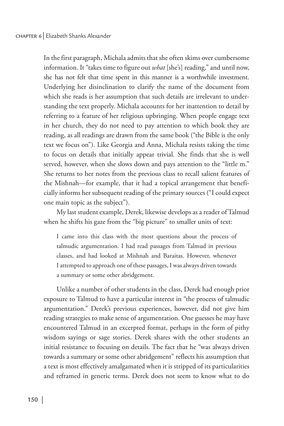In the first paragraph, Michala admits that she often skims over cumbersome information. It "takes time to figure out *what* [she's] reading," and until now, she has not felt that time spent in this manner is a worthwhile investment. Underlying her disinclination to clarify the name of the document from which she reads is her assumption that such details are irrelevant to understanding the text properly. Michala accounts for her inattention to detail by referring to a feature of her religious upbringing. When people engage text in her church, they do not need to pay attention to which book they are reading, as all readings are drawn from the same book ("the Bible is the only text we focus on"). Like Georgia and Anna, Michala resists taking the time to focus on details that initially appear trivial. She finds that she is well served, however, when she slows down and pays attention to the "little m." She returns to her notes from the previous class to recall salient features of the Mishnah—for example, that it had a topical arrangement that beneficially informs her subsequent reading of the primary sources ("I could expect one main topic as the subject").

My last student example, Derek, likewise develops as a reader of Talmud when he shifts his gaze from the "big picture" to smaller units of text:

I came into this class with the most questions about the process of talmudic argumentation. I had read passages from Talmud in previous classes, and had looked at Mishnah and Baraitas. However, whenever I attempted to approach one of these passages, I was always driven towards a summary or some other abridgement.

Unlike a number of other students in the class, Derek had enough prior exposure to Talmud to have a particular interest in "the process of talmudic argumentation." Derek's previous experiences, however, did not give him reading strategies to make sense of argumentation. One guesses he may have encountered Talmud in an excerpted format, perhaps in the form of pithy wisdom sayings or sage stories. Derek shares with the other students an initial resistance to focusing on details. The fact that he "was always driven towards a summary or some other abridgement" reflects his assumption that a text is most effectively amalgamated when it is stripped of its particularities and reframed in generic terms. Derek does not seem to know what to do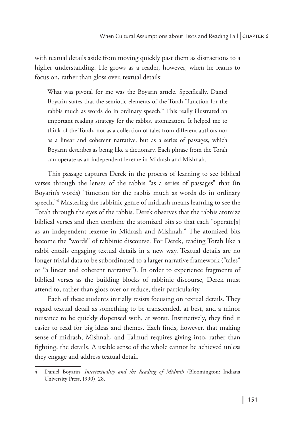with textual details aside from moving quickly past them as distractions to a higher understanding. He grows as a reader, however, when he learns to focus on, rather than gloss over, textual details:

What was pivotal for me was the Boyarin article. Specifically, Daniel Boyarin states that the semiotic elements of the Torah "function for the rabbis much as words do in ordinary speech." This really illustrated an important reading strategy for the rabbis, atomization. It helped me to think of the Torah, not as a collection of tales from different authors nor as a linear and coherent narrative, but as a series of passages, which Boyarin describes as being like a dictionary. Each phrase from the Torah can operate as an independent lexeme in Midrash and Mishnah.

This passage captures Derek in the process of learning to see biblical verses through the lenses of the rabbis "as a series of passages" that (in Boyarin's words) "function for the rabbis much as words do in ordinary speech."4 Mastering the rabbinic genre of midrash means learning to see the Torah through the eyes of the rabbis. Derek observes that the rabbis atomize biblical verses and then combine the atomized bits so that each "operate[s] as an independent lexeme in Midrash and Mishnah." The atomized bits become the "words" of rabbinic discourse. For Derek, reading Torah like a rabbi entails engaging textual details in a new way. Textual details are no longer trivial data to be subordinated to a larger narrative framework ("tales" or "a linear and coherent narrative"). In order to experience fragments of biblical verses as the building blocks of rabbinic discourse, Derek must attend to, rather than gloss over or reduce, their particularity.

Each of these students initially resists focusing on textual details. They regard textual detail as something to be transcended, at best, and a minor nuisance to be quickly dispensed with, at worst. Instinctively, they find it easier to read for big ideas and themes. Each finds, however, that making sense of midrash, Mishnah, and Talmud requires giving into, rather than fighting, the details. A usable sense of the whole cannot be achieved unless they engage and address textual detail.

<sup>4</sup> Daniel Boyarin, *Intertextuality and the Reading of Midrash* (Bloomington: Indiana University Press, 1990), 28.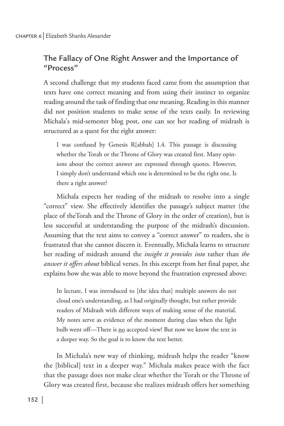# The Fallacy of One Right Answer and the Importance of "Process"

A second challenge that my students faced came from the assumption that texts have one correct meaning and from using their instinct to organize reading around the task of finding that one meaning. Reading in this manner did not position students to make sense of the texts easily. In reviewing Michala's mid-semester blog post, one can see her reading of midrash is structured as a quest for the right answer:

I was confused by Genesis R[abbah] 1.4. This passage is discussing whether the Torah or the Throne of Glory was created first. Many opinions about the correct answer are expressed through quotes. However, I simply don't understand which one is determined to be the right one. Is there a right answer?

Michala expects her reading of the midrash to resolve into a single "correct" view. She effectively identifies the passage's subject matter (the place of theTorah and the Throne of Glory in the order of creation), but is less successful at understanding the purpose of the midrash's discussion. Assuming that the text aims to convey a "correct answer" to readers, she is frustrated that she cannot discern it. Eventually, Michala learns to structure her reading of midrash around the *insight it provides into* rather than *the answer it offers about* biblical verses. In this excerpt from her final paper, she explains how she was able to move beyond the frustration expressed above:

In lecture, I was introduced to [the idea that] multiple answers do not cloud one's understanding, as I had originally thought, but rather provide readers of Midrash with different ways of making sense of the material. My notes serve as evidence of the moment during class when the light bulb went off-There is no accepted view! But now we know the text in a deeper way. So the goal is to know the text better.

In Michala's new way of thinking, midrash helps the reader "know the [biblical] text in a deeper way." Michala makes peace with the fact that the passage does not make clear whether the Torah or the Throne of Glory was created first, because she realizes midrash offers her something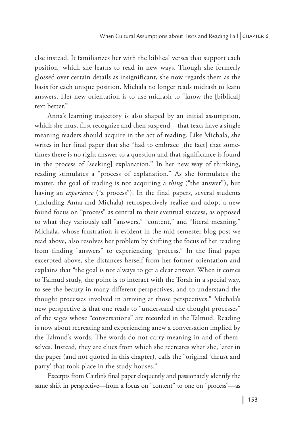else instead. It familiarizes her with the biblical verses that support each position, which she learns to read in new ways. Though she formerly glossed over certain details as insignificant, she now regards them as the basis for each unique position. Michala no longer reads midrash to learn answers. Her new orientation is to use midrash to "know the [biblical] text better."

Anna's learning trajectory is also shaped by an initial assumption, which she must first recognize and then suspend—that texts have a single meaning readers should acquire in the act of reading. Like Michala, she writes in her final paper that she "had to embrace [the fact] that sometimes there is no right answer to a question and that significance is found in the process of [seeking] explanation." In her new way of thinking, reading stimulates a "process of explanation." As she formulates the matter, the goal of reading is not acquiring a *thing* ("the answer"), but having an *experience* ("a process"). In the final papers, several students (including Anna and Michala) retrospectively realize and adopt a new found focus on "process" as central to their eventual success, as opposed to what they variously call "answers," "content," and "literal meaning." Michala, whose frustration is evident in the mid-semester blog post we read above, also resolves her problem by shifting the focus of her reading from finding "answers" to experiencing "process." In the final paper excerpted above, she distances herself from her former orientation and explains that "the goal is not always to get a clear answer. When it comes to Talmud study, the point is to interact with the Torah in a special way, to see the beauty in many different perspectives, and to understand the thought processes involved in arriving at those perspectives." Michala's new perspective is that one reads to "understand the thought processes" of the sages whose "conversations" are recorded in the Talmud. Reading is now about recreating and experiencing anew a conversation implied by the Talmud's words. The words do not carry meaning in and of themselves. Instead, they are clues from which she recreates what she, later in the paper (and not quoted in this chapter), calls the "original 'thrust and parry' that took place in the study houses."

Excerpts from Caitlin's final paper eloquently and passionately identify the same shift in perspective—from a focus on "content" to one on "process"—as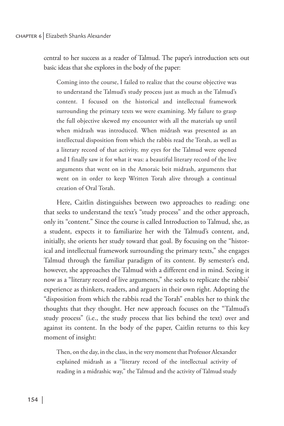central to her success as a reader of Talmud. The paper's introduction sets out basic ideas that she explores in the body of the paper:

Coming into the course, I failed to realize that the course objective was to understand the Talmud's study process just as much as the Talmud's content. I focused on the historical and intellectual framework surrounding the primary texts we were examining. My failure to grasp the full objective skewed my encounter with all the materials up until when midrash was introduced. When midrash was presented as an intellectual disposition from which the rabbis read the Torah, as well as a literary record of that activity, my eyes for the Talmud were opened and I finally saw it for what it was: a beautiful literary record of the live arguments that went on in the Amoraic beit midrash, arguments that went on in order to keep Written Torah alive through a continual creation of Oral Torah.

Here, Caitlin distinguishes between two approaches to reading: one that seeks to understand the text's "study process" and the other approach, only its "content." Since the course is called Introduction to Talmud, she, as a student, expects it to familiarize her with the Talmud's content, and, initially, she orients her study toward that goal. By focusing on the "historical and intellectual framework surrounding the primary texts," she engages Talmud through the familiar paradigm of its content. By semester's end, however, she approaches the Talmud with a different end in mind. Seeing it now as a "literary record of live arguments," she seeks to replicate the rabbis' experience as thinkers, readers, and arguers in their own right. Adopting the "disposition from which the rabbis read the Torah" enables her to think the thoughts that they thought. Her new approach focuses on the "Talmud's study process" (i.e., the study process that lies behind the text) over and against its content. In the body of the paper, Caitlin returns to this key moment of insight:

Then, on the day, in the class, in the very moment that Professor Alexander explained midrash as a "literary record of the intellectual activity of reading in a midrashic way," the Talmud and the activity of Talmud study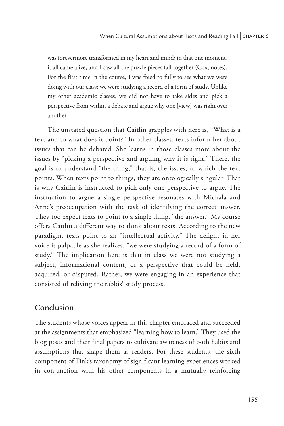was forevermore transformed in my heart and mind; in that one moment, it all came alive, and I saw all the puzzle pieces fall together (Cox, notes). For the first time in the course, I was freed to fully to see what we were doing with our class: we were studying a record of a form of study. Unlike my other academic classes, we did not have to take sides and pick a perspective from within a debate and argue why one [view] was right over another.

The unstated question that Caitlin grapples with here is, "What is a text and to what does it point?" In other classes, texts inform her about issues that can be debated. She learns in those classes more about the issues by "picking a perspective and arguing why it is right." There, the goal is to understand "the thing," that is, the issues, to which the text points. When texts point to things, they are ontologically singular. That is why Caitlin is instructed to pick only one perspective to argue. The instruction to argue a single perspective resonates with Michala and Anna's preoccupation with the task of identifying the correct answer. They too expect texts to point to a single thing, "the answer." My course offers Caitlin a different way to think about texts. According to the new paradigm, texts point to an "intellectual activity." The delight in her voice is palpable as she realizes, "we were studying a record of a form of study." The implication here is that in class we were not studying a subject, informational content, or a perspective that could be held, acquired, or disputed. Rather, we were engaging in an experience that consisted of reliving the rabbis' study process.

# Conclusion

The students whose voices appear in this chapter embraced and succeeded at the assignments that emphasized "learning how to learn." They used the blog posts and their final papers to cultivate awareness of both habits and assumptions that shape them as readers. For these students, the sixth component of Fink's taxonomy of significant learning experiences worked in conjunction with his other components in a mutually reinforcing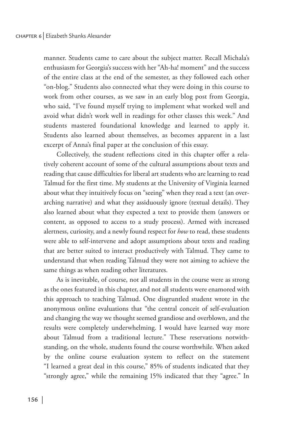manner. Students came to care about the subject matter. Recall Michala's enthusiasm for Georgia's success with her "Ah-ha! moment" and the success of the entire class at the end of the semester, as they followed each other "on-blog." Students also connected what they were doing in this course to work from other courses, as we saw in an early blog post from Georgia, who said, "I've found myself trying to implement what worked well and avoid what didn't work well in readings for other classes this week." And students mastered foundational knowledge and learned to apply it. Students also learned about themselves, as becomes apparent in a last excerpt of Anna's final paper at the conclusion of this essay.

Collectively, the student reflections cited in this chapter offer a relatively coherent account of some of the cultural assumptions about texts and reading that cause difficulties for liberal art students who are learning to read Talmud for the first time. My students at the University of Virginia learned about what they intuitively focus on "seeing" when they read a text (an overarching narrative) and what they assiduously ignore (textual details). They also learned about what they expected a text to provide them (answers or content, as opposed to access to a study process). Armed with increased alertness, curiosity, and a newly found respect for *how* to read, these students were able to self-intervene and adopt assumptions about texts and reading that are better suited to interact productively with Talmud. They came to understand that when reading Talmud they were not aiming to achieve the same things as when reading other literatures.

As is inevitable, of course, not all students in the course were as strong as the ones featured in this chapter, and not all students were enamored with this approach to teaching Talmud. One disgruntled student wrote in the anonymous online evaluations that "the central conceit of self-evaluation and changing the way we thought seemed grandiose and overblown, and the results were completely underwhelming. I would have learned way more about Talmud from a traditional lecture." These reservations notwithstanding, on the whole, students found the course worthwhile. When asked by the online course evaluation system to reflect on the statement "I learned a great deal in this course," 85% of students indicated that they "strongly agree," while the remaining 15% indicated that they "agree." In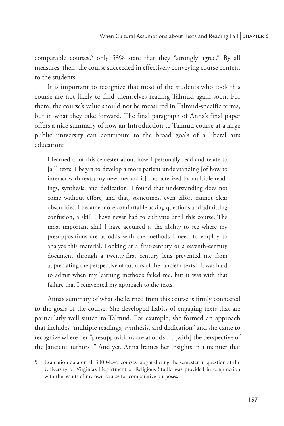comparable courses,5 only 53% state that they "strongly agree." By all measures, then, the course succeeded in effectively conveying course content to the students.

It is important to recognize that most of the students who took this course are not likely to find themselves reading Talmud again soon. For them, the course's value should not be measured in Talmud-specific terms, but in what they take forward. The final paragraph of Anna's final paper offers a nice summary of how an Introduction to Talmud course at a large public university can contribute to the broad goals of a liberal arts education:

I learned a lot this semester about how I personally read and relate to [all] texts. I began to develop a more patient understanding [of how to interact with texts; my new method is] characterized by multiple readings, synthesis, and dedication. I found that understanding does not come without effort, and that, sometimes, even effort cannot clear obscurities. I became more comfortable asking questions and admitting confusion, a skill I have never had to cultivate until this course. The most important skill I have acquired is the ability to see where my presuppositions are at odds with the methods I need to employ to analyze this material. Looking at a first-century or a seventh-century document through a twenty-first century lens prevented me from appreciating the perspective of authors of the [ancient texts]. It was hard to admit when my learning methods failed me, but it was with that failure that I reinvented my approach to the texts.

Anna's summary of what she learned from this course is firmly connected to the goals of the course. She developed habits of engaging texts that are particularly well suited to Talmud. For example, she formed an approach that includes "multiple readings, synthesis, and dedication" and she came to recognize where her "presuppositions are at odds . . . [with] the perspective of the [ancient authors]." And yet, Anna frames her insights in a manner that

<sup>5</sup> Evaluation data on all 3000-level courses taught during the semester in question at the University of Virginia's Department of Religious Studie was provided in conjunction with the results of my own course for comparative purposes.